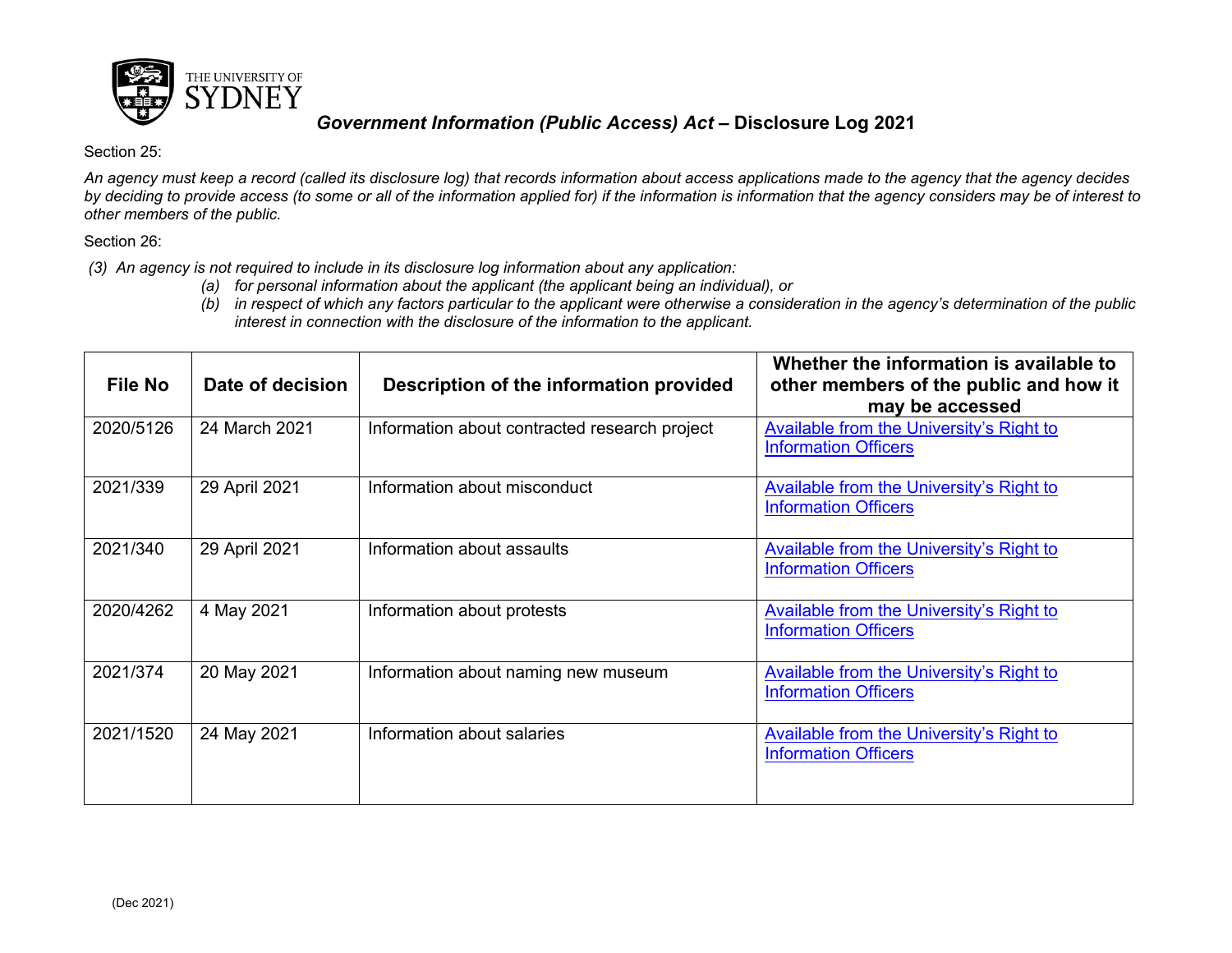

## *Government Information (Public Access) Act* **– Disclosure Log 2021**

Section 25:

*An agency must keep a record (called its disclosure log) that records information about access applications made to the agency that the agency decides by deciding to provide access (to some or all of the information applied for) if the information is information that the agency considers may be of interest to other members of the public.*

Section 26:

*(3) An agency is not required to include in its disclosure log information about any application:*

- *(a) for personal information about the applicant (the applicant being an individual), or*
- *(b) in respect of which any factors particular to the applicant were otherwise a consideration in the agency's determination of the public interest in connection with the disclosure of the information to the applicant.*

| File No   | Date of decision | Description of the information provided       | Whether the information is available to<br>other members of the public and how it<br>may be accessed |
|-----------|------------------|-----------------------------------------------|------------------------------------------------------------------------------------------------------|
| 2020/5126 | 24 March 2021    | Information about contracted research project | <b>Available from the University's Right to</b><br><b>Information Officers</b>                       |
| 2021/339  | 29 April 2021    | Information about misconduct                  | Available from the University's Right to<br><b>Information Officers</b>                              |
| 2021/340  | 29 April 2021    | Information about assaults                    | <b>Available from the University's Right to</b><br><b>Information Officers</b>                       |
| 2020/4262 | 4 May 2021       | Information about protests                    | Available from the University's Right to<br><b>Information Officers</b>                              |
| 2021/374  | 20 May 2021      | Information about naming new museum           | <b>Available from the University's Right to</b><br><b>Information Officers</b>                       |
| 2021/1520 | 24 May 2021      | Information about salaries                    | <b>Available from the University's Right to</b><br><b>Information Officers</b>                       |